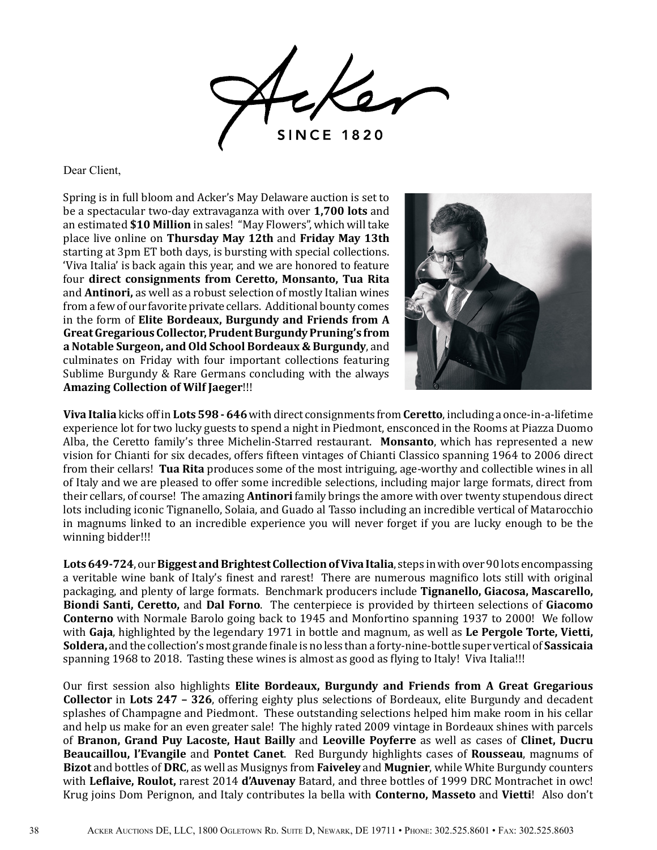

Dear Client,

Spring is in full bloom and Acker's May Delaware auction is set to be a spectacular two-day extravaganza with over **1,700 lots** and an estimated **\$10 Million** in sales! "May Flowers", which will take place live online on **Thursday May 12th** and **Friday May 13th** starting at 3pm ET both days, is bursting with special collections. 'Viva Italia' is back again this year, and we are honored to feature four **direct consignments from Ceretto, Monsanto, Tua Rita** and **Antinori,** as well as a robust selection of mostly Italian wines from a few of our favorite private cellars. Additional bounty comes in the form of **Elite Bordeaux, Burgundy and Friends from A Great Gregarious Collector, Prudent Burgundy Pruning's from a Notable Surgeon, and Old School Bordeaux & Burgundy**, and culminates on Friday with four important collections featuring Sublime Burgundy & Rare Germans concluding with the always **Amazing Collection of Wilf Jaeger**!!!



**Viva Italia** kicks off in **Lots 598 - 646** with direct consignments from **Ceretto**, including a once-in-a-lifetime experience lot for two lucky guests to spend a night in Piedmont, ensconced in the Rooms at Piazza Duomo Alba, the Ceretto family's three Michelin-Starred restaurant. **Monsanto**, which has represented a new vision for Chianti for six decades, offers fifteen vintages of Chianti Classico spanning 1964 to 2006 direct from their cellars! **Tua Rita** produces some of the most intriguing, age-worthy and collectible wines in all of Italy and we are pleased to offer some incredible selections, including major large formats, direct from their cellars, of course! The amazing **Antinori** family brings the amore with over twenty stupendous direct lots including iconic Tignanello, Solaia, and Guado al Tasso including an incredible vertical of Matarocchio in magnums linked to an incredible experience you will never forget if you are lucky enough to be the winning bidder!!!

**Lots 649-724**, our **Biggest and Brightest Collection of Viva Italia**, steps in with over 90 lots encompassing a veritable wine bank of Italy's finest and rarest! There are numerous magnifico lots still with original packaging, and plenty of large formats. Benchmark producers include **Tignanello, Giacosa, Mascarello, Biondi Santi, Ceretto,** and **Dal Forno**. The centerpiece is provided by thirteen selections of **Giacomo Conterno** with Normale Barolo going back to 1945 and Monfortino spanning 1937 to 2000! We follow with **Gaja**, highlighted by the legendary 1971 in bottle and magnum, as well as **Le Pergole Torte, Vietti, Soldera,** and the collection's most grande finale is no less than a forty-nine-bottle super vertical of **Sassicaia**  spanning 1968 to 2018. Tasting these wines is almost as good as flying to Italy! Viva Italia!!!

Our first session also highlights **Elite Bordeaux, Burgundy and Friends from A Great Gregarious Collector** in **Lots 247 – 326**, offering eighty plus selections of Bordeaux, elite Burgundy and decadent splashes of Champagne and Piedmont. These outstanding selections helped him make room in his cellar and help us make for an even greater sale! The highly rated 2009 vintage in Bordeaux shines with parcels of **Branon, Grand Puy Lacoste, Haut Bailly** and **Leoville Poyferre** as well as cases of **Clinet, Ducru Beaucaillou, l'Evangile** and **Pontet Canet**. Red Burgundy highlights cases of **Rousseau**, magnums of **Bizot** and bottles of **DRC**, as well as Musignys from **Faiveley** and **Mugnier**, while White Burgundy counters with **Leflaive, Roulot,** rarest 2014 **d'Auvenay** Batard, and three bottles of 1999 DRC Montrachet in owc! Krug joins Dom Perignon, and Italy contributes la bella with **Conterno, Masseto** and **Vietti**! Also don't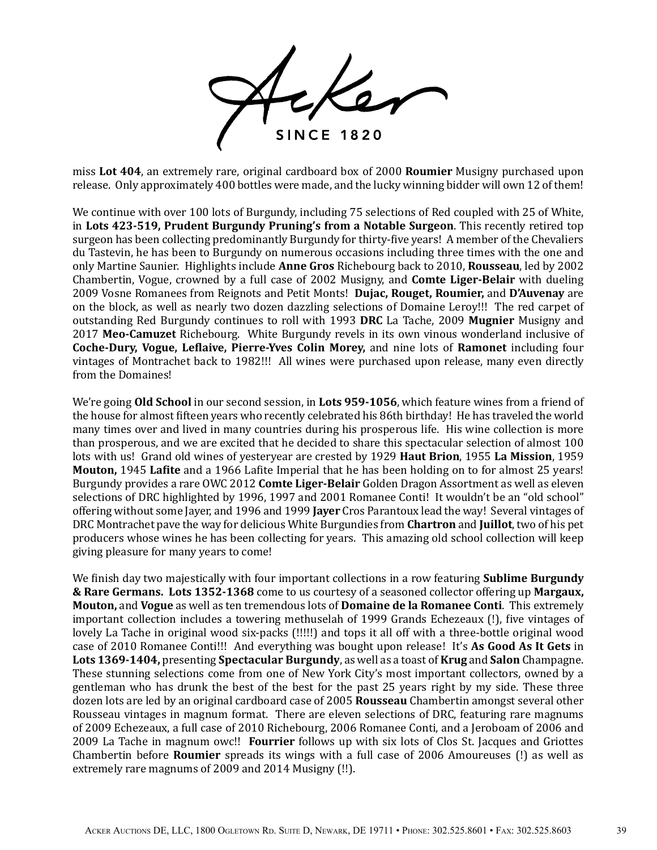**SINCE 1820** 

miss **Lot 404**, an extremely rare, original cardboard box of 2000 **Roumier** Musigny purchased upon release. Only approximately 400 bottles were made, and the lucky winning bidder will own 12 of them!

We continue with over 100 lots of Burgundy, including 75 selections of Red coupled with 25 of White, in **Lots 423-519, Prudent Burgundy Pruning's from a Notable Surgeon**. This recently retired top surgeon has been collecting predominantly Burgundy for thirty-five years! A member of the Chevaliers du Tastevin, he has been to Burgundy on numerous occasions including three times with the one and only Martine Saunier. Highlights include **Anne Gros** Richebourg back to 2010, **Rousseau**, led by 2002 Chambertin, Vogue, crowned by a full case of 2002 Musigny, and **Comte Liger-Belair** with dueling 2009 Vosne Romanees from Reignots and Petit Monts! **Dujac, Rouget, Roumier,** and **D'Auvenay** are on the block, as well as nearly two dozen dazzling selections of Domaine Leroy!!! The red carpet of outstanding Red Burgundy continues to roll with 1993 **DRC** La Tache, 2009 **Mugnier** Musigny and 2017 **Meo-Camuzet** Richebourg. White Burgundy revels in its own vinous wonderland inclusive of **Coche-Dury, Vogue, Leflaive, Pierre-Yves Colin Morey,** and nine lots of **Ramonet** including four vintages of Montrachet back to 1982!!! All wines were purchased upon release, many even directly from the Domaines!

We're going **Old School** in our second session, in **Lots 959-1056**, which feature wines from a friend of the house for almost fifteen years who recently celebrated his 86th birthday! He has traveled the world many times over and lived in many countries during his prosperous life. His wine collection is more than prosperous, and we are excited that he decided to share this spectacular selection of almost 100 lots with us! Grand old wines of yesteryear are crested by 1929 **Haut Brion**, 1955 **La Mission**, 1959 **Mouton,** 1945 **Lafite** and a 1966 Lafite Imperial that he has been holding on to for almost 25 years! Burgundy provides a rare OWC 2012 **Comte Liger-Belair** Golden Dragon Assortment as well as eleven selections of DRC highlighted by 1996, 1997 and 2001 Romanee Conti! It wouldn't be an "old school" offering without some Jayer, and 1996 and 1999 **Jayer** Cros Parantoux lead the way! Several vintages of DRC Montrachet pave the way for delicious White Burgundies from **Chartron** and **Juillot**, two of his pet producers whose wines he has been collecting for years. This amazing old school collection will keep giving pleasure for many years to come!

We finish day two majestically with four important collections in a row featuring **Sublime Burgundy & Rare Germans. Lots 1352-1368** come to us courtesy of a seasoned collector offering up **Margaux, Mouton,** and **Vogue** as well as ten tremendous lots of **Domaine de la Romanee Conti**. This extremely important collection includes a towering methuselah of 1999 Grands Echezeaux (!), five vintages of lovely La Tache in original wood six-packs (!!!!!) and tops it all off with a three-bottle original wood case of 2010 Romanee Conti!!! And everything was bought upon release! It's **As Good As It Gets** in **Lots 1369-1404,** presenting **Spectacular Burgundy**, as well as a toast of **Krug** and **Salon** Champagne. These stunning selections come from one of New York City's most important collectors, owned by a gentleman who has drunk the best of the best for the past 25 years right by my side. These three dozen lots are led by an original cardboard case of 2005 **Rousseau** Chambertin amongst several other Rousseau vintages in magnum format. There are eleven selections of DRC, featuring rare magnums of 2009 Echezeaux, a full case of 2010 Richebourg, 2006 Romanee Conti, and a Jeroboam of 2006 and 2009 La Tache in magnum owc!! **Fourrier** follows up with six lots of Clos St. Jacques and Griottes Chambertin before **Roumier** spreads its wings with a full case of 2006 Amoureuses (!) as well as extremely rare magnums of 2009 and 2014 Musigny (!!).